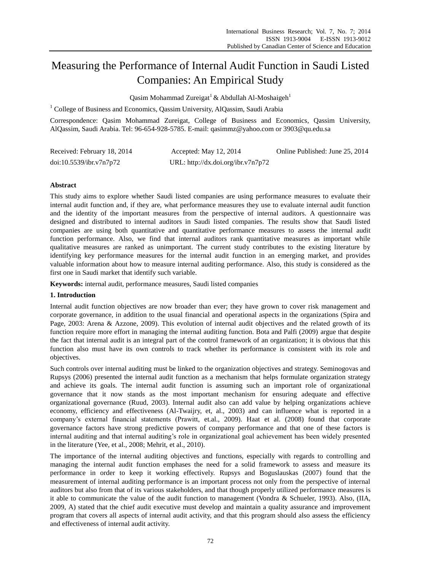# Measuring the Performance of Internal Audit Function in Saudi Listed Companies: An Empirical Study

Qasim Mohammad Zureigat<sup>1</sup> & Abdullah Al-Moshaigeh<sup>1</sup>

<sup>1</sup> College of Business and Economics, Qassim University, AlQassim, Saudi Arabia

Correspondence: Qasim Mohammad Zureigat, College of Business and Economics, Qassim University, AlQassim, Saudi Arabia. Tel: 96-654-928-5785. E-mail: qasimmz@yahoo.com or 3903@qu.edu.sa

| Received: February 18, 2014 | Accepted: May 12, 2014             | Online Published: June 25, 2014 |
|-----------------------------|------------------------------------|---------------------------------|
| doi:10.5539/ibr.v7n7p72     | URL: http://dx.doi.org/ibr.v7n7p72 |                                 |

# **Abstract**

This study aims to explore whether Saudi listed companies are using performance measures to evaluate their internal audit function and, if they are, what performance measures they use to evaluate internal audit function and the identity of the important measures from the perspective of internal auditors. A questionnaire was designed and distributed to internal auditors in Saudi listed companies. The results show that Saudi listed companies are using both quantitative and quantitative performance measures to assess the internal audit function performance. Also, we find that internal auditors rank quantitative measures as important while qualitative measures are ranked as unimportant. The current study contributes to the existing literature by identifying key performance measures for the internal audit function in an emerging market, and provides valuable information about how to measure internal auditing performance. Also, this study is considered as the first one in Saudi market that identify such variable.

**Keywords:** internal audit, performance measures, Saudi listed companies

## **1. Introduction**

Internal audit function objectives are now broader than ever; they have grown to cover risk management and corporate governance, in addition to the usual financial and operational aspects in the organizations (Spira and Page, 2003: Arena & Azzone, 2009). This evolution of internal audit objectives and the related growth of its function require more effort in managing the internal auditing function. Bota and Palfi (2009) argue that despite the fact that internal audit is an integral part of the control framework of an organization; it is obvious that this function also must have its own controls to track whether its performance is consistent with its role and objectives.

Such controls over internal auditing must be linked to the organization objectives and strategy. Seminogovas and Rupsys (2006) presented the internal audit function as a mechanism that helps formulate organization strategy and achieve its goals. The internal audit function is assuming such an important role of organizational governance that it now stands as the most important mechanism for ensuring adequate and effective organizational governance (Ruud, 2003). Internal audit also can add value by helping organizations achieve economy, efficiency and effectiveness (Al-Twaijry, et, al., 2003) and can influence what is reported in a company's external financial statements (Prawitt, et.al., 2009). Haat et al. (2008) found that corporate governance factors have strong predictive powers of company performance and that one of these factors is internal auditing and that internal auditing's role in organizational goal achievement has been widely presented in the literature (Yee, et al., 2008; Mehrit, et al., 2010).

The importance of the internal auditing objectives and functions, especially with regards to controlling and managing the internal audit function emphases the need for a solid framework to assess and measure its performance in order to keep it working effectively. Rupsys and Boguslauskas (2007) found that the measurement of internal auditing performance is an important process not only from the perspective of internal auditors but also from that of its various stakeholders, and that though properly utilized performance measures is it able to communicate the value of the audit function to management (Vondra & Schueler, 1993). Also, (IIA, 2009, A) stated that the chief audit executive must develop and maintain a quality assurance and improvement program that covers all aspects of internal audit activity, and that this program should also assess the efficiency and effectiveness of internal audit activity.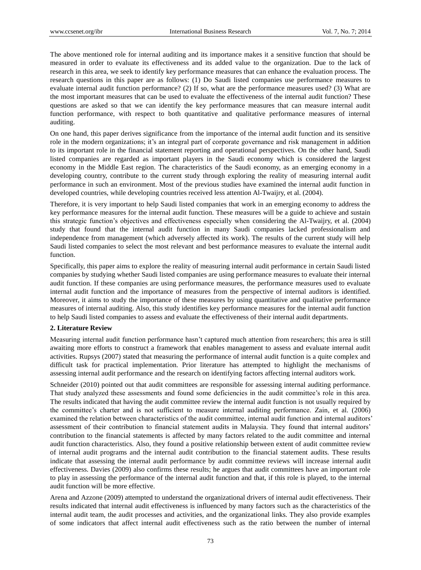The above mentioned role for internal auditing and its importance makes it a sensitive function that should be measured in order to evaluate its effectiveness and its added value to the organization. Due to the lack of research in this area, we seek to identify key performance measures that can enhance the evaluation process. The research questions in this paper are as follows: (1) Do Saudi listed companies use performance measures to evaluate internal audit function performance? (2) If so, what are the performance measures used? (3) What are the most important measures that can be used to evaluate the effectiveness of the internal audit function? These questions are asked so that we can identify the key performance measures that can measure internal audit function performance, with respect to both quantitative and qualitative performance measures of internal auditing.

On one hand, this paper derives significance from the importance of the internal audit function and its sensitive role in the modern organizations; it's an integral part of corporate governance and risk management in addition to its important role in the financial statement reporting and operational perspectives. On the other hand, Saudi listed companies are regarded as important players in the Saudi economy which is considered the largest economy in the Middle East region. The characteristics of the Saudi economy, as an emerging economy in a developing country, contribute to the current study through exploring the reality of measuring internal audit performance in such an environment. Most of the previous studies have examined the internal audit function in developed countries, while developing countries received less attention Al-Twaijry, et al. (2004).

Therefore, it is very important to help Saudi listed companies that work in an emerging economy to address the key performance measures for the internal audit function. These measures will be a guide to achieve and sustain this strategic function's objectives and effectiveness especially when considering the Al-Twaijry, et al. (2004) study that found that the internal audit function in many Saudi companies lacked professionalism and independence from management (which adversely affected its work). The results of the current study will help Saudi listed companies to select the most relevant and best performance measures to evaluate the internal audit function.

Specifically, this paper aims to explore the reality of measuring internal audit performance in certain Saudi listed companies by studying whether Saudi listed companies are using performance measures to evaluate their internal audit function. If these companies are using performance measures, the performance measures used to evaluate internal audit function and the importance of measures from the perspective of internal auditors is identified. Moreover, it aims to study the importance of these measures by using quantitative and qualitative performance measures of internal auditing. Also, this study identifies key performance measures for the internal audit function to help Saudi listed companies to assess and evaluate the effectiveness of their internal audit departments.

#### **2. Literature Review**

Measuring internal audit function performance hasn't captured much attention from researchers; this area is still awaiting more efforts to construct a framework that enables management to assess and evaluate internal audit activities. Rupsys (2007) stated that measuring the performance of internal audit function is a quite complex and difficult task for practical implementation. Prior literature has attempted to highlight the mechanisms of assessing internal audit performance and the research on identifying factors affecting internal auditors work.

Schneider (2010) pointed out that audit committees are responsible for assessing internal auditing performance. That study analyzed these assessments and found some deficiencies in the audit committee's role in this area. The results indicated that having the audit committee review the internal audit function is not usually required by the committee's charter and is not sufficient to measure internal auditing performance. Zain, et al. (2006) examined the relation between characteristics of the audit committee, internal audit function and internal auditors' assessment of their contribution to financial statement audits in Malaysia. They found that internal auditors' contribution to the financial statements is affected by many factors related to the audit committee and internal audit function characteristics. Also, they found a positive relationship between extent of audit committee review of internal audit programs and the internal audit contribution to the financial statement audits. These results indicate that assessing the internal audit performance by audit committee reviews will increase internal audit effectiveness. Davies (2009) also confirms these results; he argues that audit committees have an important role to play in assessing the performance of the internal audit function and that, if this role is played, to the internal audit function will be more effective.

Arena and Azzone (2009) attempted to understand the organizational drivers of internal audit effectiveness. Their results indicated that internal audit effectiveness is influenced by many factors such as the characteristics of the internal audit team, the audit processes and activities, and the organizational links. They also provide examples of some indicators that affect internal audit effectiveness such as the ratio between the number of internal

73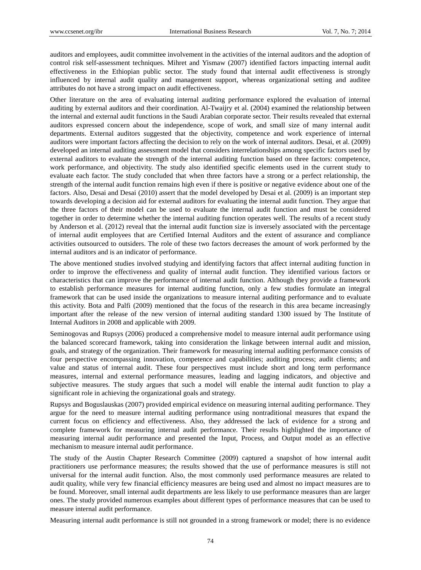auditors and employees, audit committee involvement in the activities of the internal auditors and the adoption of control risk self-assessment techniques. Mihret and Yismaw (2007) identified factors impacting internal audit effectiveness in the Ethiopian public sector. The study found that internal audit effectiveness is strongly influenced by internal audit quality and management support, whereas organizational setting and auditee attributes do not have a strong impact on audit effectiveness.

Other literature on the area of evaluating internal auditing performance explored the evaluation of internal auditing by external auditors and their coordination. Al-Twaijry et al. (2004) examined the relationship between the internal and external audit functions in the Saudi Arabian corporate sector. Their results revealed that external auditors expressed concern about the independence, scope of work, and small size of many internal audit departments. External auditors suggested that the objectivity, competence and work experience of internal auditors were important factors affecting the decision to rely on the work of internal auditors. Desai, et al. (2009) developed an internal auditing assessment model that considers interrelationships among specific factors used by external auditors to evaluate the strength of the internal auditing function based on three factors: competence, work performance, and objectivity. The study also identified specific elements used in the current study to evaluate each factor. The study concluded that when three factors have a strong or a perfect relationship, the strength of the internal audit function remains high even if there is positive or negative evidence about one of the factors. Also, Desai and Desai (2010) assert that the model developed by Desai et al. (2009) is an important step towards developing a decision aid for external auditors for evaluating the internal audit function. They argue that the three factors of their model can be used to evaluate the internal audit function and must be considered together in order to determine whether the internal auditing function operates well. The results of a recent study by Anderson et al. (2012) reveal that the internal audit function size is inversely associated with the percentage of internal audit employees that are Certified Internal Auditors and the extent of assurance and compliance activities outsourced to outsiders. The role of these two factors decreases the amount of work performed by the internal auditors and is an indicator of performance.

The above mentioned studies involved studying and identifying factors that affect internal auditing function in order to improve the effectiveness and quality of internal audit function. They identified various factors or characteristics that can improve the performance of internal audit function. Although they provide a framework to establish performance measures for internal auditing function, only a few studies formulate an integral framework that can be used inside the organizations to measure internal auditing performance and to evaluate this activity. Bota and Palfi (2009) mentioned that the focus of the research in this area became increasingly important after the release of the new version of internal auditing standard 1300 issued by The Institute of Internal Auditors in 2008 and applicable with 2009.

Seminogovas and Rupsys (2006) produced a comprehensive model to measure internal audit performance using the balanced scorecard framework, taking into consideration the linkage between internal audit and mission, goals, and strategy of the organization. Their framework for measuring internal auditing performance consists of four perspective encompassing innovation, competence and capabilities; auditing process; audit clients; and value and status of internal audit. These four perspectives must include short and long term performance measures, internal and external performance measures, leading and lagging indicators, and objective and subjective measures. The study argues that such a model will enable the internal audit function to play a significant role in achieving the organizational goals and strategy.

Rupsys and Boguslauskas (2007) provided empirical evidence on measuring internal auditing performance. They argue for the need to measure internal auditing performance using nontraditional measures that expand the current focus on efficiency and effectiveness. Also, they addressed the lack of evidence for a strong and complete framework for measuring internal audit performance. Their results highlighted the importance of measuring internal audit performance and presented the Input, Process, and Output model as an effective mechanism to measure internal audit performance.

The study of the Austin Chapter Research Committee (2009) captured a snapshot of how internal audit practitioners use performance measures; the results showed that the use of performance measures is still not universal for the internal audit function. Also, the most commonly used performance measures are related to audit quality, while very few financial efficiency measures are being used and almost no impact measures are to be found. Moreover, small internal audit departments are less likely to use performance measures than are larger ones. The study provided numerous examples about different types of performance measures that can be used to measure internal audit performance.

Measuring internal audit performance is still not grounded in a strong framework or model; there is no evidence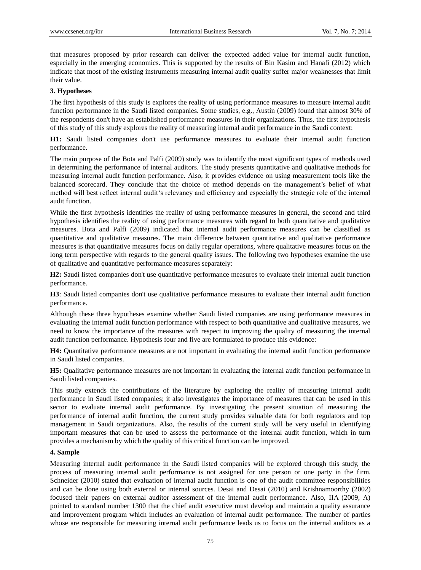that measures proposed by prior research can deliver the expected added value for internal audit function, especially in the emerging economics. This is supported by the results of Bin Kasim and Hanafi (2012) which indicate that most of the existing instruments measuring internal audit quality suffer major weaknesses that limit their value.

# **3. Hypotheses**

The first hypothesis of this study is explores the reality of using performance measures to measure internal audit function performance in the Saudi listed companies. Some studies, e.g., Austin (2009) found that almost 30% of the respondents don't have an established performance measures in their organizations. Thus, the first hypothesis of this study of this study explores the reality of measuring internal audit performance in the Saudi context:

**H1:** Saudi listed companies don't use performance measures to evaluate their internal audit function performance.

The main purpose of the Bota and Palfi (2009) study was to identify the most significant types of methods used in determining the performance of internal auditors. The study presents quantitative and qualitative methods for measuring internal audit function performance. Also, it provides evidence on using measurement tools like the balanced scorecard. They conclude that the choice of method depends on the management's belief of what method will best reflect internal audit's relevancy and efficiency and especially the strategic role of the internal audit function.

While the first hypothesis identifies the reality of using performance measures in general, the second and third hypothesis identifies the reality of using performance measures with regard to both quantitative and qualitative measures. Bota and Palfi (2009) indicated that internal audit performance measures can be classified as quantitative and qualitative measures. The main difference between quantitative and qualitative performance measures is that quantitative measures focus on daily regular operations, where qualitative measures focus on the long term perspective with regards to the general quality issues. The following two hypotheses examine the use of qualitative and quantitative performance measures separately:

**H2:** Saudi listed companies don't use quantitative performance measures to evaluate their internal audit function performance.

**H3**: Saudi listed companies don't use qualitative performance measures to evaluate their internal audit function performance.

Although these three hypotheses examine whether Saudi listed companies are using performance measures in evaluating the internal audit function performance with respect to both quantitative and qualitative measures, we need to know the importance of the measures with respect to improving the quality of measuring the internal audit function performance. Hypothesis four and five are formulated to produce this evidence:

**H4:** Quantitative performance measures are not important in evaluating the internal audit function performance in Saudi listed companies.

**H5:** Qualitative performance measures are not important in evaluating the internal audit function performance in Saudi listed companies.

This study extends the contributions of the literature by exploring the reality of measuring internal audit performance in Saudi listed companies; it also investigates the importance of measures that can be used in this sector to evaluate internal audit performance. By investigating the present situation of measuring the performance of internal audit function, the current study provides valuable data for both regulators and top management in Saudi organizations. Also, the results of the current study will be very useful in identifying important measures that can be used to assess the performance of the internal audit function, which in turn provides a mechanism by which the quality of this critical function can be improved.

## **4. Sample**

Measuring internal audit performance in the Saudi listed companies will be explored through this study, the process of measuring internal audit performance is not assigned for one person or one party in the firm. Schneider (2010) stated that evaluation of internal audit function is one of the audit committee responsibilities and can be done using both external or internal sources. Desai and Desai (2010) and Krishnamoorthy (2002) focused their papers on external auditor assessment of the internal audit performance. Also, IIA (2009, A) pointed to standard number 1300 that the chief audit executive must develop and maintain a quality assurance and improvement program which includes an evaluation of internal audit performance. The number of parties whose are responsible for measuring internal audit performance leads us to focus on the internal auditors as a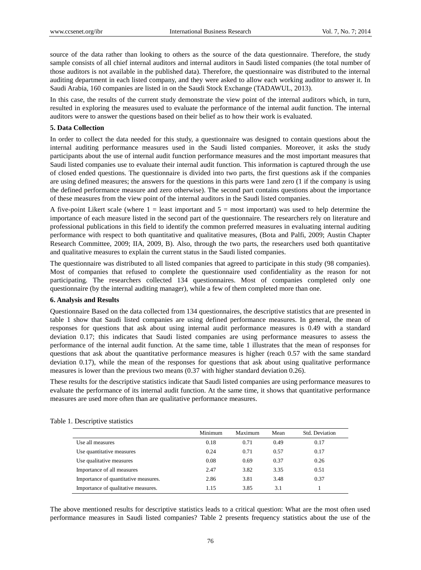source of the data rather than looking to others as the source of the data questionnaire. Therefore, the study sample consists of all chief internal auditors and internal auditors in Saudi listed companies (the total number of those auditors is not available in the published data). Therefore, the questionnaire was distributed to the internal auditing department in each listed company, and they were asked to allow each working auditor to answer it. In Saudi Arabia, 160 companies are listed in on the Saudi Stock Exchange (TADAWUL, 2013).

In this case, the results of the current study demonstrate the view point of the internal auditors which, in turn, resulted in exploring the measures used to evaluate the performance of the internal audit function. The internal auditors were to answer the questions based on their belief as to how their work is evaluated.

#### **5. Data Collection**

In order to collect the data needed for this study, a questionnaire was designed to contain questions about the internal auditing performance measures used in the Saudi listed companies. Moreover, it asks the study participants about the use of internal audit function performance measures and the most important measures that Saudi listed companies use to evaluate their internal audit function. This information is captured through the use of closed ended questions. The questionnaire is divided into two parts, the first questions ask if the companies are using defined measures; the answers for the questions in this parts were 1and zero (1 if the company is using the defined performance measure and zero otherwise). The second part contains questions about the importance of these measures from the view point of the internal auditors in the Saudi listed companies.

A five-point Likert scale (where  $1 =$  least important and  $5 =$  most important) was used to help determine the importance of each measure listed in the second part of the questionnaire. The researchers rely on literature and professional publications in this field to identify the common preferred measures in evaluating internal auditing performance with respect to both quantitative and qualitative measures, (Bota and Palfi, 2009; Austin Chapter Research Committee, 2009; IIA, 2009, B). Also, through the two parts, the researchers used both quantitative and qualitative measures to explain the current status in the Saudi listed companies.

The questionnaire was distributed to all listed companies that agreed to participate in this study (98 companies). Most of companies that refused to complete the questionnaire used confidentiality as the reason for not participating. The researchers collected 134 questionnaires. Most of companies completed only one questionnaire (by the internal auditing manager), while a few of them completed more than one.

## **6. Analysis and Results**

Questionnaire Based on the data collected from 134 questionnaires, the descriptive statistics that are presented in table 1 show that Saudi listed companies are using defined performance measures. In general, the mean of responses for questions that ask about using internal audit performance measures is 0.49 with a standard deviation 0.17; this indicates that Saudi listed companies are using performance measures to assess the performance of the internal audit function. At the same time, table 1 illustrates that the mean of responses for questions that ask about the quantitative performance measures is higher (reach 0.57 with the same standard deviation 0.17), while the mean of the responses for questions that ask about using qualitative performance measures is lower than the previous two means (0.37 with higher standard deviation 0.26).

These results for the descriptive statistics indicate that Saudi listed companies are using performance measures to evaluate the performance of its internal audit function. At the same time, it shows that quantitative performance measures are used more often than are qualitative performance measures.

|                                      | Minimum | Maximum | Mean | Std. Deviation |
|--------------------------------------|---------|---------|------|----------------|
| Use all measures                     | 0.18    | 0.71    | 0.49 | 0.17           |
| Use quantitative measures            | 0.24    | 0.71    | 0.57 | 0.17           |
| Use qualitative measures             | 0.08    | 0.69    | 0.37 | 0.26           |
| Importance of all measures           | 2.47    | 3.82    | 3.35 | 0.51           |
| Importance of quantitative measures. | 2.86    | 3.81    | 3.48 | 0.37           |
| Importance of qualitative measures.  | 1.15    | 3.85    | 3.1  |                |

Table 1. Descriptive statistics

The above mentioned results for descriptive statistics leads to a critical question: What are the most often used performance measures in Saudi listed companies? Table 2 presents frequency statistics about the use of the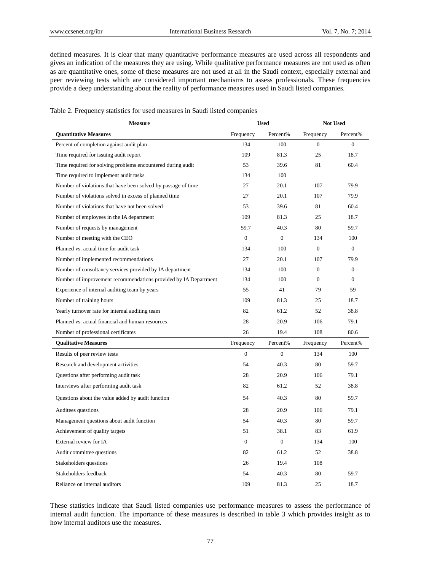defined measures. It is clear that many quantitative performance measures are used across all respondents and gives an indication of the measures they are using. While qualitative performance measures are not used as often as are quantitative ones, some of these measures are not used at all in the Saudi context, especially external and peer reviewing tests which are considered important mechanisms to assess professionals. These frequencies provide a deep understanding about the reality of performance measures used in Saudi listed companies.

| Table 2. Frequency statistics for used measures in Saudi listed companies |  |
|---------------------------------------------------------------------------|--|
|---------------------------------------------------------------------------|--|

| <b>Measure</b>                                                  | <b>Used</b>    |                  | <b>Not Used</b>  |                  |
|-----------------------------------------------------------------|----------------|------------------|------------------|------------------|
| <b>Quantitative Measures</b>                                    | Frequency      | Percent%         | Frequency        | Percent%         |
| Percent of completion against audit plan                        | 134            | 100              | $\overline{0}$   | $\overline{0}$   |
| Time required for issuing audit report                          | 109            | 81.3             | 25               | 18.7             |
| Time required for solving problems encountered during audit     | 53             | 39.6             | 81               | 60.4             |
| Time required to implement audit tasks                          | 134            | 100              |                  |                  |
| Number of violations that have been solved by passage of time   | 27             | 20.1             | 107              | 79.9             |
| Number of violations solved in excess of planned time           | 27             | 20.1             | 107              | 79.9             |
| Number of violations that have not been solved                  | 53             | 39.6             | 81               | 60.4             |
| Number of employees in the IA department                        | 109            | 81.3             | 25               | 18.7             |
| Number of requests by management                                | 59.7           | 40.3             | 80               | 59.7             |
| Number of meeting with the CEO                                  | $\overline{0}$ | $\boldsymbol{0}$ | 134              | 100              |
| Planned vs. actual time for audit task                          | 134            | 100              | $\boldsymbol{0}$ | $\boldsymbol{0}$ |
| Number of implemented recommendations                           | 27             | 20.1             | 107              | 79.9             |
| Number of consultancy services provided by IA department        | 134            | 100              | $\boldsymbol{0}$ | $\boldsymbol{0}$ |
| Number of improvement recommendations provided by IA Department | 134            | 100              | $\mathbf{0}$     | $\overline{0}$   |
| Experience of internal auditing team by years                   | 55             | 41               | 79               | 59               |
| Number of training hours                                        | 109            | 81.3             | 25               | 18.7             |
| Yearly turnover rate for internal auditing team                 | 82             | 61.2             | 52               | 38.8             |
| Planned vs. actual financial and human resources                | 28             | 20.9             | 106              | 79.1             |
| Number of professional certificates                             | 26             | 19.4             | 108              | 80.6             |
| <b>Qualitative Measures</b>                                     | Frequency      | Percent%         | Frequency        | Percent%         |
| Results of peer review tests                                    | $\overline{0}$ | $\overline{0}$   | 134              | 100              |
| Research and development activities                             | 54             | 40.3             | 80               | 59.7             |
| Questions after performing audit task                           | 28             | 20.9             | 106              | 79.1             |
| Interviews after performing audit task                          | 82             | 61.2             | 52               | 38.8             |
| Questions about the value added by audit function               | 54             | 40.3             | 80               | 59.7             |
| Auditees questions                                              | 28             | 20.9             | 106              | 79.1             |
| Management questions about audit function                       | 54             | 40.3             | 80               | 59.7             |
| Achievement of quality targets                                  | 51             | 38.1             | 83               | 61.9             |
| External review for IA                                          | $\Omega$       | $\overline{0}$   | 134              | 100              |
| Audit committee questions                                       | 82             | 61.2             | 52               | 38.8             |
| Stakeholders questions                                          | 26             | 19.4             | 108              |                  |
| Stakeholders feedback                                           | 54             | 40.3             | 80               | 59.7             |
| Reliance on internal auditors                                   | 109            | 81.3             | 25               | 18.7             |

These statistics indicate that Saudi listed companies use performance measures to assess the performance of internal audit function. The importance of these measures is described in table 3 which provides insight as to how internal auditors use the measures.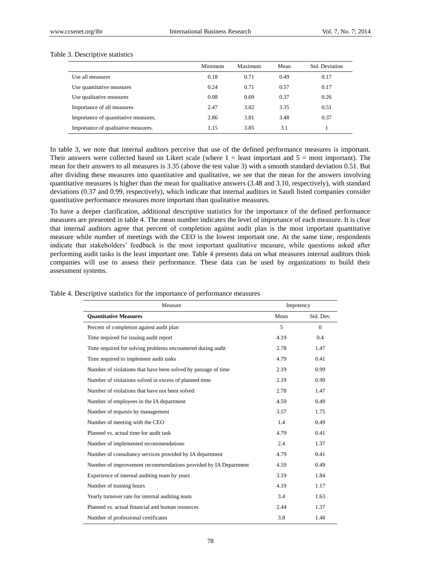## Table 3. Descriptive statistics

|                                      | Minimum | Maximum | Mean | Std. Deviation |
|--------------------------------------|---------|---------|------|----------------|
| Use all measures                     | 0.18    | 0.71    | 0.49 | 0.17           |
| Use quantitative measures            | 0.24    | 0.71    | 0.57 | 0.17           |
| Use qualitative measures             | 0.08    | 0.69    | 0.37 | 0.26           |
| Importance of all measures           | 2.47    | 3.82    | 3.35 | 0.51           |
| Importance of quantitative measures. | 2.86    | 3.81    | 3.48 | 0.37           |
| Importance of qualitative measures.  | 1.15    | 3.85    | 3.1  |                |

In table 3, we note that internal auditors perceive that use of the defined performance measures is important. Their answers were collected based on Likert scale (where  $1 =$  least important and  $5 =$  most important). The mean for their answers to all measures is 3.35 (above the test value 3) with a smooth standard deviation 0.51. But after dividing these measures into quantitative and qualitative, we see that the mean for the answers involving quantitative measures is higher than the mean for qualitative answers (3.48 and 3.10, respectively), with standard deviations (0.37 and 0.99, respectively), which indicate that internal auditors in Saudi listed companies consider quantitative performance measures more important than qualitative measures.

To have a deeper clarification, additional descriptive statistics for the importance of the defined performance measures are presented in table 4. The mean number indicates the level of importance of each measure. It is clear that internal auditors agree that percent of completion against audit plan is the most important quantitative measure while number of meetings with the CEO is the lowest important one. At the same time, respondents indicate that stakeholders' feedback is the most important qualitative measure, while questions asked after performing audit tasks is the least important one. Table 4 presents data on what measures internal auditors think companies will use to assess their performance. These data can be used by organizations to build their assessment systems.

| Measure                                                         | Impotency |           |  |
|-----------------------------------------------------------------|-----------|-----------|--|
| <b>Quantitative Measures</b>                                    | Mean      | Std. Dev. |  |
| Percent of completion against audit plan                        | 5         | $\Omega$  |  |
| Time required for issuing audit report                          | 4.19      | 0.4       |  |
| Time required for solving problems encountered during audit     | 2.78      | 1.47      |  |
| Time required to implement audit tasks                          | 4.79      | 0.41      |  |
| Number of violations that have been solved by passage of time   | 2.19      | 0.99      |  |
| Number of violations solved in excess of planned time           | 2.19      | 0.99      |  |
| Number of violations that have not been solved                  | 2.78      | 1.47      |  |
| Number of employees in the IA department                        | 4.59      | 0.49      |  |
| Number of requests by management                                | 3.57      | 1.75      |  |
| Number of meeting with the CEO                                  | 1.4       | 0.49      |  |
| Planned vs. actual time for audit task                          | 4.79      | 0.41      |  |
| Number of implemented recommendations                           | 2.4       | 1.37      |  |
| Number of consultancy services provided by IA department        | 4.79      | 0.41      |  |
| Number of improvement recommendations provided by IA Department | 4.59      | 0.49      |  |
| Experience of internal auditing team by years                   | 3.19      | 1.84      |  |
| Number of training hours                                        | 4.19      | 1.17      |  |
| Yearly turnover rate for internal auditing team                 | 3.4       | 1.63      |  |
| Planned vs. actual financial and human resources                | 2.44      | 1.37      |  |
| Number of professional certificates                             | 3.8       | 1.48      |  |

Table 4. Descriptive statistics for the importance of performance measures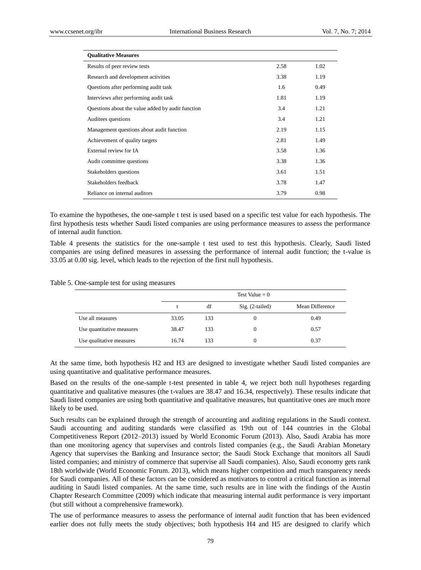| <b>Oualitative Measures</b>                       |      |      |
|---------------------------------------------------|------|------|
| Results of peer review tests                      | 2.58 | 1.02 |
| Research and development activities               | 3.38 | 1.19 |
| Questions after performing audit task             | 1.6  | 0.49 |
| Interviews after performing audit task            | 1.81 | 1.19 |
| Questions about the value added by audit function | 3.4  | 1.21 |
| Auditees questions                                | 3.4  | 1.21 |
| Management questions about audit function         | 2.19 | 1.15 |
| Achievement of quality targets                    | 2.81 | 1.49 |
| External review for IA                            | 3.58 | 1.36 |
| Audit committee questions                         | 3.38 | 1.36 |
| Stakeholders questions                            | 3.61 | 1.51 |
| Stakeholders feedback                             | 3.78 | 1.47 |
| Reliance on internal auditors                     | 3.79 | 0.98 |

To examine the hypotheses, the one-sample t test is used based on a specific test value for each hypothesis. The first hypothesis tests whether Saudi listed companies are using performance measures to assess the performance of internal audit function.

Table 4 presents the statistics for the one-sample t test used to test this hypothesis. Clearly, Saudi listed companies are using defined measures in assessing the performance of internal audit function; the t-value is 33.05 at 0.00 sig. level, which leads to the rejection of the first null hypothesis.

Table 5. One-sample test for using measures

|                           |       | Test Value = $0$ |                   |                 |  |
|---------------------------|-------|------------------|-------------------|-----------------|--|
|                           |       | df               | $Sig. (2-tailed)$ | Mean Difference |  |
| Use all measures          | 33.05 | 133              | $\theta$          | 0.49            |  |
| Use quantitative measures | 38.47 | 133              | $^{(1)}$          | 0.57            |  |
| Use qualitative measures  | 16.74 | 133              | 0                 | 0.37            |  |

At the same time, both hypothesis H2 and H3 are designed to investigate whether Saudi listed companies are using quantitative and qualitative performance measures.

Based on the results of the one-sample t-test presented in table 4, we reject both null hypotheses regarding quantitative and qualitative measures (the t-values are 38.47 and 16.34, respectively). These results indicate that Saudi listed companies are using both quantitative and qualitative measures, but quantitative ones are much more likely to be used.

Such results can be explained through the strength of accounting and auditing regulations in the Saudi context. Saudi accounting and auditing standards were classified as 19th out of 144 countries in the Global Competitiveness Report (2012–2013) issued by World Economic Forum (2013). Also, Saudi Arabia has more than one monitoring agency that supervises and controls listed companies (e.g., the Saudi Arabian Monetary Agency that supervises the Banking and Insurance sector; the Saudi Stock Exchange that monitors all Saudi listed companies; and ministry of commerce that supervise all Saudi companies). Also, Saudi economy gets rank 18th worldwide (World Economic Forum. 2013), which means higher competition and much transparency needs for Saudi companies. All of these factors can be considered as motivators to control a critical function as internal auditing in Saudi listed companies. At the same time, such results are in line with the findings of the Austin Chapter Research Committee (2009) which indicate that measuring internal audit performance is very important (but still without a comprehensive framework).

The use of performance measures to assess the performance of internal audit function that has been evidenced earlier does not fully meets the study objectives; both hypothesis H4 and H5 are designed to clarify which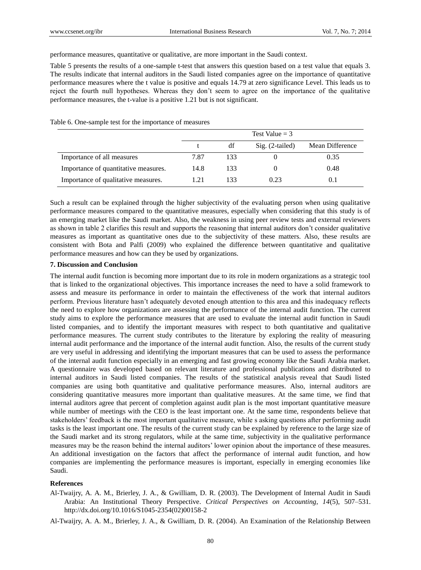performance measures, quantitative or qualitative, are more important in the Saudi context.

Table 5 presents the results of a one-sample t-test that answers this question based on a test value that equals 3. The results indicate that internal auditors in the Saudi listed companies agree on the importance of quantitative performance measures where the t value is positive and equals 14.79 at zero significance Level. This leads us to reject the fourth null hypotheses. Whereas they don't seem to agree on the importance of the qualitative performance measures, the t-value is a positive 1.21 but is not significant.

|                                      | Test Value $=$ 3 |     |                   |                 |
|--------------------------------------|------------------|-----|-------------------|-----------------|
|                                      |                  | df  | $Sig. (2-tailed)$ | Mean Difference |
| Importance of all measures           | 7.87             | 133 |                   | 0.35            |
| Importance of quantitative measures. | 14.8             | 133 |                   | 0.48            |
| Importance of qualitative measures.  | 1.21             | 133 | 0.23              | (0.1)           |

Table 6. One-sample test for the importance of measures

Such a result can be explained through the higher subjectivity of the evaluating person when using qualitative performance measures compared to the quantitative measures, especially when considering that this study is of an emerging market like the Saudi market. Also, the weakness in using peer review tests and external reviewers as shown in table 2 clarifies this result and supports the reasoning that internal auditors don't consider qualitative measures as important as quantitative ones due to the subjectivity of these matters. Also, these results are consistent with Bota and Palfi (2009) who explained the difference between quantitative and qualitative performance measures and how can they be used by organizations.

# **7. Discussion and Conclusion**

The internal audit function is becoming more important due to its role in modern organizations as a strategic tool that is linked to the organizational objectives. This importance increases the need to have a solid framework to assess and measure its performance in order to maintain the effectiveness of the work that internal auditors perform. Previous literature hasn't adequately devoted enough attention to this area and this inadequacy reflects the need to explore how organizations are assessing the performance of the internal audit function. The current study aims to explore the performance measures that are used to evaluate the internal audit function in Saudi listed companies, and to identify the important measures with respect to both quantitative and qualitative performance measures. The current study contributes to the literature by exploring the reality of measuring internal audit performance and the importance of the internal audit function. Also, the results of the current study are very useful in addressing and identifying the important measures that can be used to assess the performance of the internal audit function especially in an emerging and fast growing economy like the Saudi Arabia market. A questionnaire was developed based on relevant literature and professional publications and distributed to internal auditors in Saudi listed companies. The results of the statistical analysis reveal that Saudi listed companies are using both quantitative and qualitative performance measures. Also, internal auditors are considering quantitative measures more important than qualitative measures. At the same time, we find that internal auditors agree that percent of completion against audit plan is the most important quantitative measure while number of meetings with the CEO is the least important one. At the same time, respondents believe that stakeholders' feedback is the most important qualitative measure, while s asking questions after performing audit tasks is the least important one. The results of the current study can be explained by reference to the large size of the Saudi market and its strong regulators, while at the same time, subjectivity in the qualitative performance measures may be the reason behind the internal auditors' lower opinion about the importance of these measures. An additional investigation on the factors that affect the performance of internal audit function, and how companies are implementing the performance measures is important, especially in emerging economies like Saudi.

#### **References**

Al-Twaijry, A. A. M., Brierley, J. A., & Gwilliam, D. R. (2003). The Development of Internal Audit in Saudi Arabia: An Institutional Theory Perspective. *Critical Perspectives on Accounting, 14*(5), 507–531. http://dx.doi.org/10.1016/S1045-2354(02)00158-2

Al-Twaijry, A. A. M., Brierley, J. A., & Gwilliam, D. R. (2004). An Examination of the Relationship Between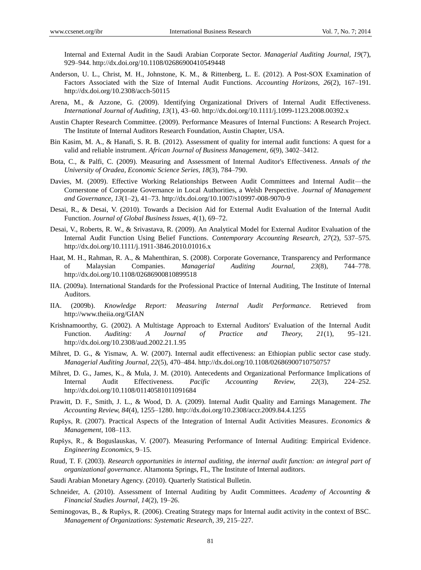Internal and External Audit in the Saudi Arabian Corporate Sector. *Managerial Auditing Journal, 19*(7), 929–944. http://dx.doi.org/10.1108/02686900410549448

- Anderson, U. L., Christ, M. H., Johnstone, K. M., & Rittenberg, L. E. (2012). A Post-SOX Examination of Factors Associated with the Size of Internal Audit Functions. *Accounting Horizons, 26*(2), 167–191. http://dx.doi.org/10.2308/acch-50115
- Arena, M., & Azzone, G. (2009). Identifying Organizational Drivers of Internal Audit Effectiveness. *International Journal of Auditing, 13*(1), 43–60. http://dx.doi.org/10.1111/j.1099-1123.2008.00392.x
- Austin Chapter Research Committee. (2009). Performance Measures of Internal Functions: A Research Project. The Institute of Internal Auditors Research Foundation, Austin Chapter, USA.
- Bin Kasim, M. A., & Hanafi, S. R. B. (2012). Assessment of quality for internal audit functions: A quest for a valid and reliable instrument. *African Journal of Business Management, 6*(9), 3402–3412.
- Bota, C., & Palfi, C. (2009). Measuring and Assessment of Internal Auditor's Effectiveness. *Annals of the University of Oradea, Economic Science Series, 18*(3), 784–790.
- Davies, M. (2009). Effective Working Relationships Between Audit Committees and Internal Audit—the Cornerstone of Corporate Governance in Local Authorities, a Welsh Perspective. *Journal of Management and Governance, 13*(1–2), 41–73. http://dx.doi.org/10.1007/s10997-008-9070-9
- Desai, R., & Desai, V. (2010). Towards a Decision Aid for External Audit Evaluation of the Internal Audit Function. *Journal of Global Business Issues, 4*(1), 69–72.
- Desai, V., Roberts, R. W., & Srivastava, R. (2009). An Analytical Model for External Auditor Evaluation of the Internal Audit Function Using Belief Functions. *Contemporary Accounting Research, 27*(2), 537–575. http://dx.doi.org/10.1111/j.1911-3846.2010.01016.x
- Haat, M. H., Rahman, R. A., & Mahenthiran, S. (2008). Corporate Governance, Transparency and Performance of Malaysian Companies. *Managerial Auditing Journal, 23*(8), 744–778. http://dx.doi.org/10.1108/02686900810899518
- IIA. (2009a). International Standards for the Professional Practice of Internal Auditing, The Institute of Internal Auditors.
- IIA. (2009b). *Knowledge Report: Measuring Internal Audit Performance.* Retrieved from http://www.theiia.org/GIAN
- Krishnamoorthy, G. (2002). A Multistage Approach to External Auditors' Evaluation of the Internal Audit Function. *Auditing: A Journal of Practice and Theory, 21*(1), 95–121. http://dx.doi.org/10.2308/aud.2002.21.1.95
- Mihret, D. G., & Yismaw, A. W. (2007). Internal audit effectiveness: an Ethiopian public sector case study. *Managerial Auditing Journal, 22*(5), 470–484. http://dx.doi.org/10.1108/02686900710750757
- Mihret, D. G., James, K., & Mula, J. M. (2010). Antecedents and Organizational Performance Implications of Internal Audit Effectiveness. *Pacific Accounting Review, 22*(3), 224–252. http://dx.doi.org/10.1108/01140581011091684
- Prawitt, D. F., Smith, J. L., & Wood, D. A. (2009). Internal Audit Quality and Earnings Management. *The Accounting Review, 84*(4), 1255–1280. http://dx.doi.org/10.2308/accr.2009.84.4.1255
- Rupšys, R. (2007). Practical Aspects of the Integration of Internal Audit Activities Measures. *Economics & Management*, 108–113.
- Rupšys, R., & Boguslauskas, V. (2007). Measuring Performance of Internal Auditing: Empirical Evidence. *Engineering Economics*, 9–15.
- Ruud, T. F. (2003). *Research opportunities in internal auditing, the internal audit function: an integral part of organizational governance*. Altamonta Springs, FL, The Institute of Internal auditors.
- Saudi Arabian Monetary Agency. (2010). Quarterly Statistical Bulletin.
- Schneider, A. (2010). Assessment of Internal Auditing by Audit Committees. *Academy of Accounting & Financial Studies Journal, 14*(2), 19–26.
- Seminogovas, B., & Rupšys, R. (2006). Creating Strategy maps for Internal audit activity in the context of BSC. *Management of Organizations: Systematic Research, 39*, 215–227.